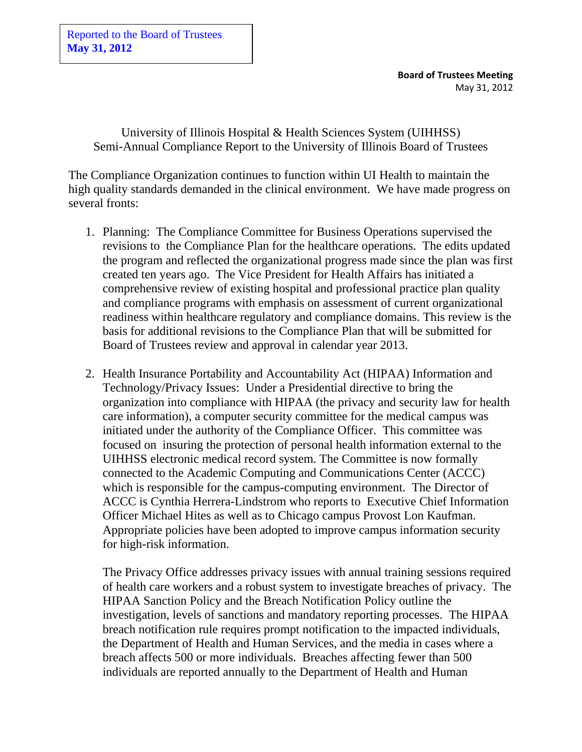Reported to the Board of Trustees **May 31, 2012**

> **Board of Trustees Meeting** May 31, 2012

University of Illinois Hospital & Health Sciences System (UIHHSS) Semi-Annual Compliance Report to the University of Illinois Board of Trustees

The Compliance Organization continues to function within UI Health to maintain the high quality standards demanded in the clinical environment. We have made progress on several fronts:

- 1. Planning: The Compliance Committee for Business Operations supervised the revisions to the Compliance Plan for the healthcare operations. The edits updated the program and reflected the organizational progress made since the plan was first created ten years ago. The Vice President for Health Affairs has initiated a comprehensive review of existing hospital and professional practice plan quality and compliance programs with emphasis on assessment of current organizational readiness within healthcare regulatory and compliance domains. This review is the basis for additional revisions to the Compliance Plan that will be submitted for Board of Trustees review and approval in calendar year 2013.
- 2. Health Insurance Portability and Accountability Act (HIPAA) Information and Technology/Privacy Issues: Under a Presidential directive to bring the organization into compliance with HIPAA (the privacy and security law for health care information), a computer security committee for the medical campus was initiated under the authority of the Compliance Officer. This committee was focused on insuring the protection of personal health information external to the UIHHSS electronic medical record system. The Committee is now formally connected to the Academic Computing and Communications Center (ACCC) which is responsible for the campus-computing environment. The Director of ACCC is Cynthia Herrera-Lindstrom who reports to Executive Chief Information Officer Michael Hites as well as to Chicago campus Provost Lon Kaufman. Appropriate policies have been adopted to improve campus information security for high-risk information.

The Privacy Office addresses privacy issues with annual training sessions required of health care workers and a robust system to investigate breaches of privacy. The HIPAA Sanction Policy and the Breach Notification Policy outline the investigation, levels of sanctions and mandatory reporting processes. The HIPAA breach notification rule requires prompt notification to the impacted individuals, the Department of Health and Human Services, and the media in cases where a breach affects 500 or more individuals. Breaches affecting fewer than 500 individuals are reported annually to the Department of Health and Human